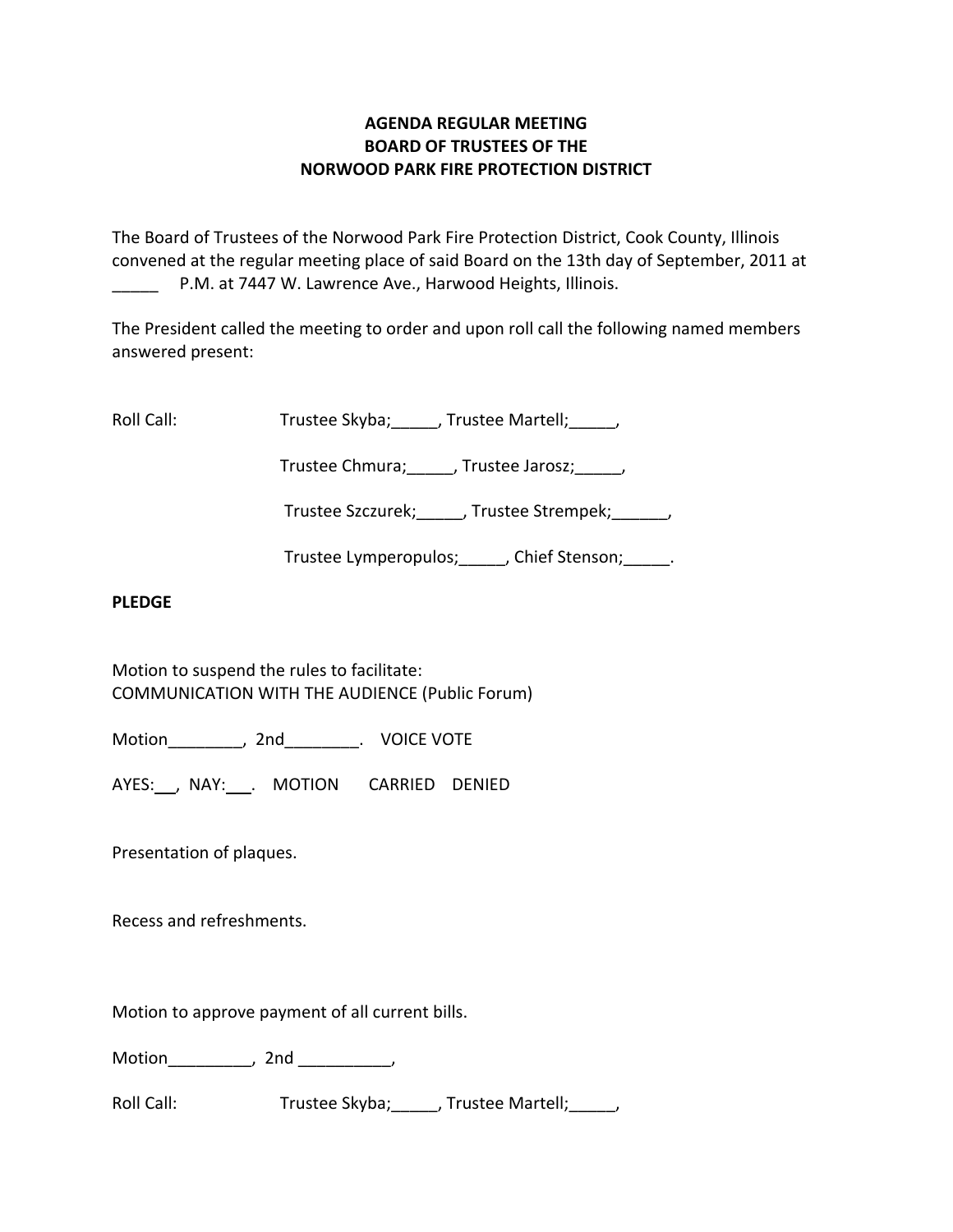# **AGENDA REGULAR MEETING BOARD OF TRUSTEES OF THE NORWOOD PARK FIRE PROTECTION DISTRICT**

The Board of Trustees of the Norwood Park Fire Protection District, Cook County, Illinois convened at the regular meeting place of said Board on the 13th day of September, 2011 at P.M. at 7447 W. Lawrence Ave., Harwood Heights, Illinois.

The President called the meeting to order and upon roll call the following named members answered present:

Roll Call: Trustee Skyba; J. Trustee Martell; Trustee Martell;

Trustee Chmura; frustee Jarosz; frustee Ohmura; die Jarosz; die Jarosz; die Jarosz; die Jarosz; die J

Trustee Szczurek; frustee Strempek; frustee Strempek;

Trustee Lymperopulos; fight point of Stenson; the Chief Stenson;

# **PLEDGE**

Motion to suspend the rules to facilitate: COMMUNICATION WITH THE AUDIENCE (Public Forum)

Motion\_\_\_\_\_\_\_\_, 2nd\_\_\_\_\_\_\_\_. VOICE VOTE

AYES: NAY: . MOTION CARRIED DENIED

Presentation of plaques.

Recess and refreshments.

Motion to approve payment of all current bills.

Motion\_\_\_\_\_\_\_\_\_, 2nd \_\_\_\_\_\_\_\_\_\_,

Roll Call: Trustee Skyba; J. Trustee Martell; J.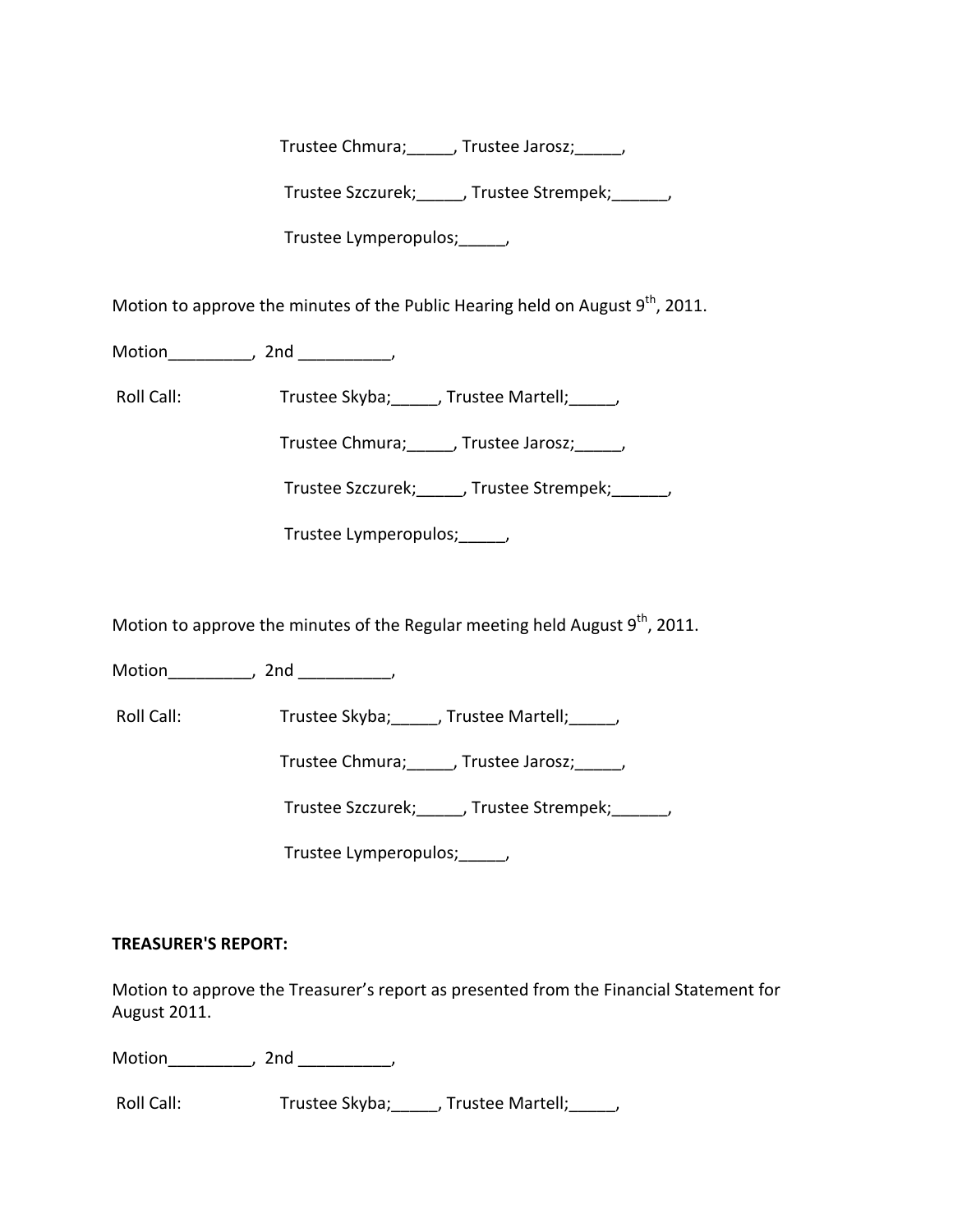Trustee Chmura;\_\_\_\_\_, Trustee Jarosz;\_\_\_\_\_,

Trustee Szczurek; frustee Strempek; frustee Strempek;

Trustee Lymperopulos;\_\_\_\_\_,

Motion to approve the minutes of the Public Hearing held on August  $9^{th}$ , 2011.

Motion the motion of the motion of the motion of the motion of the motion of the motion of the motion of the m<br>Second motion of the motion of the motion of the motion of the motion of the motion of the motion of the motio<br>

Roll Call: Trustee Skyba; \_\_\_\_\_, Trustee Martell; \_\_\_\_\_,

Trustee Chmura;\_\_\_\_\_, Trustee Jarosz;\_\_\_\_\_,

Trustee Szczurek;\_\_\_\_\_, Trustee Strempek;\_\_\_\_\_\_,

Trustee Lymperopulos;\_\_\_\_\_,

Motion to approve the minutes of the Regular meeting held August  $9<sup>th</sup>$ , 2011.

Motion the motion of the motion of the motion of the motion of the motion of the motion of the motion of the m<br>Second motion of the motion of the motion of the motion of the motion of the motion of the motion of the motio<br>

Roll Call: Trustee Skyba; J. Trustee Martell; Trustee Martell;

Trustee Chmura; J. Trustee Jarosz; J.

Trustee Szczurek;\_\_\_\_\_, Trustee Strempek;\_\_\_\_\_\_,

Trustee Lymperopulos; fig.

# **TREASURER'S REPORT:**

Motion to approve the Treasurer's report as presented from the Financial Statement for August 2011.

Motion\_\_\_\_\_\_\_\_\_, 2nd \_\_\_\_\_\_\_\_\_\_,

Roll Call: Trustee Skyba; \_\_\_\_, Trustee Martell; \_\_\_\_,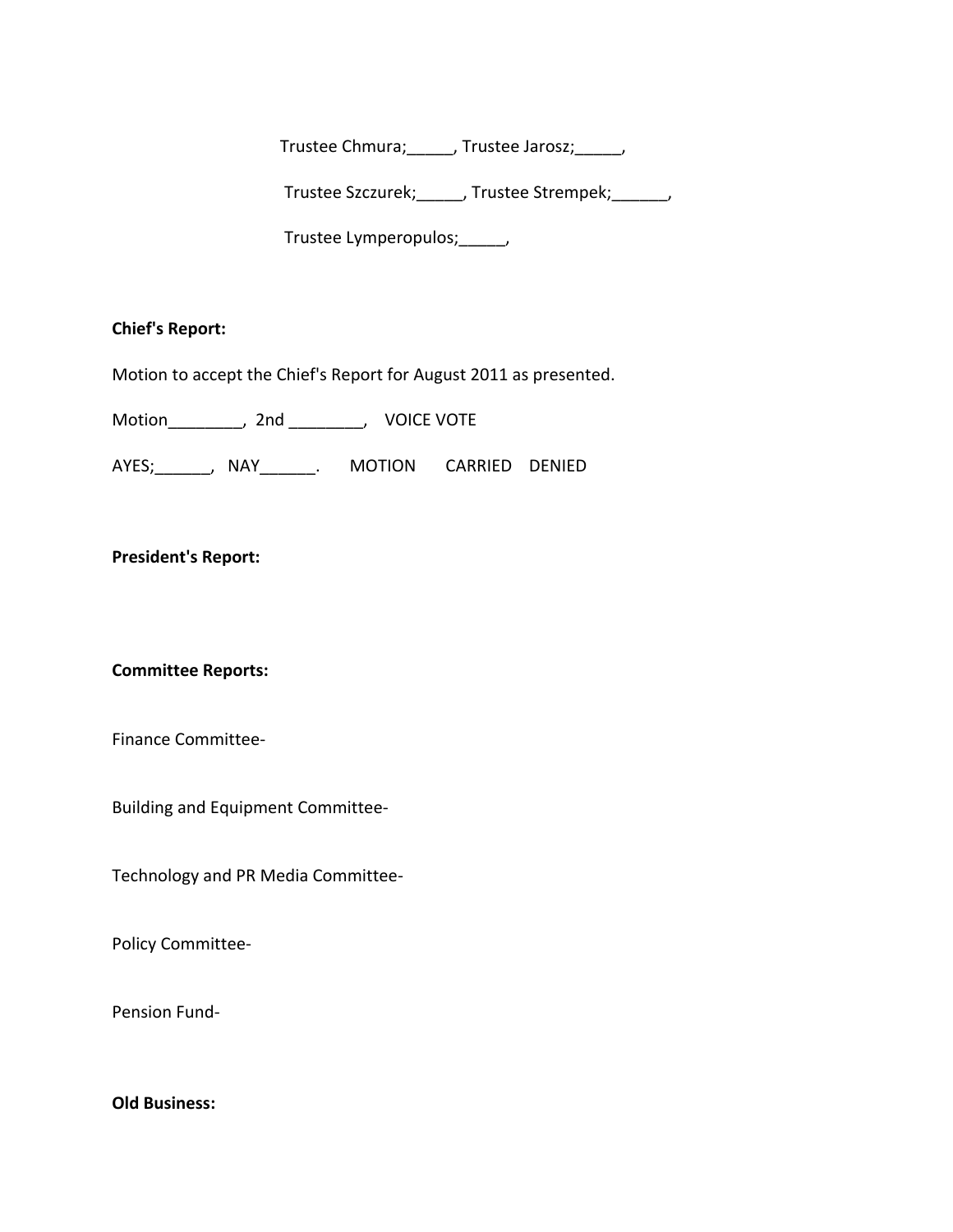Trustee Chmura;\_\_\_\_\_, Trustee Jarosz;\_\_\_\_\_,

Trustee Szczurek;\_\_\_\_\_, Trustee Strempek;\_\_\_\_\_\_,

Trustee Lymperopulos;\_\_\_\_\_,

#### **Chief's Report:**

Motion to accept the Chief's Report for August 2011 as presented.

Motion \_\_\_\_\_\_\_, 2nd \_\_\_\_\_\_\_, VOICE VOTE

AYES;\_\_\_\_\_\_, NAY\_\_\_\_\_\_. MOTION CARRIED DENIED

# **President's Report:**

#### **Committee Reports:**

Finance Committee‐

Building and Equipment Committee‐

Technology and PR Media Committee‐

Policy Committee‐

Pension Fund‐

# **Old Business:**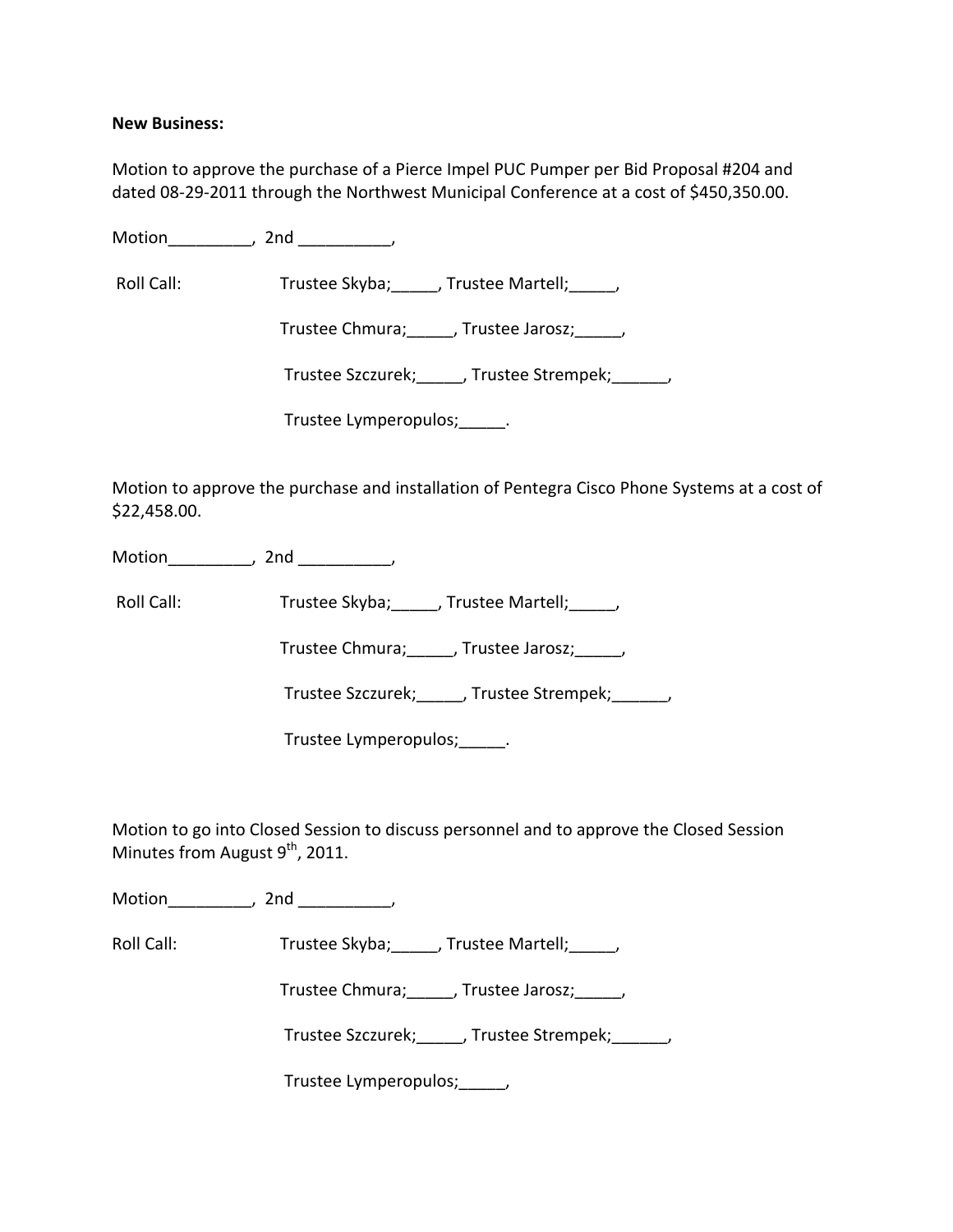#### **New Business:**

Motion to approve the purchase of a Pierce Impel PUC Pumper per Bid Proposal #204 and dated 08‐29‐2011 through the Northwest Municipal Conference at a cost of \$450,350.00.

Motion\_\_\_\_\_\_\_\_\_, 2nd \_\_\_\_\_\_\_\_\_\_,

Roll Call: Trustee Skyba; \_\_\_\_, Trustee Martell; \_\_\_\_,

Trustee Chmura;\_\_\_\_\_, Trustee Jarosz;\_\_\_\_\_,

Trustee Szczurek;\_\_\_\_\_, Trustee Strempek;\_\_\_\_\_\_,

Trustee Lymperopulos;\_\_\_\_\_.

Motion to approve the purchase and installation of Pentegra Cisco Phone Systems at a cost of \$22,458.00.

Motion the contract of the contract of the contract of the contract of the contract of the contract of the contract of the contract of the contract of the contract of the contract of the contract of the contract of the con

Roll Call: Trustee Skyba; J. Trustee Martell;

Trustee Chmura;\_\_\_\_\_, Trustee Jarosz;\_\_\_\_\_,

Trustee Szczurek;\_\_\_\_\_, Trustee Strempek;\_\_\_\_\_\_,

Trustee Lymperopulos;\_\_\_\_\_.

Motion to go into Closed Session to discuss personnel and to approve the Closed Session Minutes from August 9<sup>th</sup>, 2011.

Motion \_\_\_\_\_\_\_\_, 2nd \_\_\_\_\_\_\_\_\_,

Roll Call: Trustee Skyba; \_\_\_\_\_, Trustee Martell; \_\_\_\_\_,

Trustee Chmura;\_\_\_\_\_, Trustee Jarosz;\_\_\_\_\_,

Trustee Szczurek; J. Trustee Strempek; J.

Trustee Lymperopulos;\_\_\_\_\_,